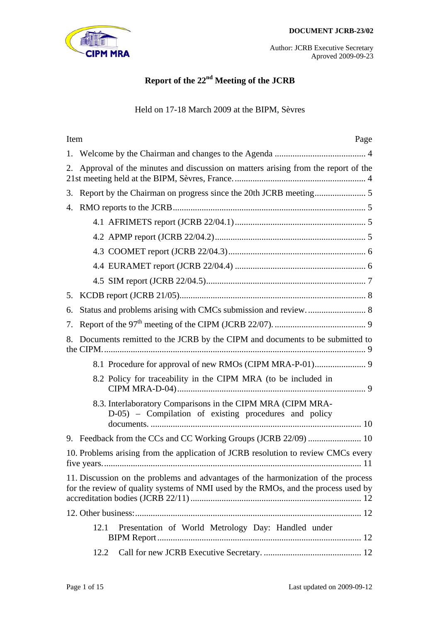

# **Report of the 22nd Meeting of the JCRB**

## Held on 17-18 March 2009 at the BIPM, Sèvres

| Item | Page                                                                                                                                                                    |  |  |  |  |
|------|-------------------------------------------------------------------------------------------------------------------------------------------------------------------------|--|--|--|--|
| 1.   |                                                                                                                                                                         |  |  |  |  |
| 2.   | Approval of the minutes and discussion on matters arising from the report of the                                                                                        |  |  |  |  |
| 3.   |                                                                                                                                                                         |  |  |  |  |
| 4.   |                                                                                                                                                                         |  |  |  |  |
|      |                                                                                                                                                                         |  |  |  |  |
|      |                                                                                                                                                                         |  |  |  |  |
|      |                                                                                                                                                                         |  |  |  |  |
|      |                                                                                                                                                                         |  |  |  |  |
|      |                                                                                                                                                                         |  |  |  |  |
| 5.   |                                                                                                                                                                         |  |  |  |  |
| 6.   |                                                                                                                                                                         |  |  |  |  |
| 7.   |                                                                                                                                                                         |  |  |  |  |
| 8.   | Documents remitted to the JCRB by the CIPM and documents to be submitted to                                                                                             |  |  |  |  |
|      |                                                                                                                                                                         |  |  |  |  |
|      | 8.2 Policy for traceability in the CIPM MRA (to be included in                                                                                                          |  |  |  |  |
|      | 8.3. Interlaboratory Comparisons in the CIPM MRA (CIPM MRA-<br>D-05) – Compilation of existing procedures and policy                                                    |  |  |  |  |
|      |                                                                                                                                                                         |  |  |  |  |
|      | 10. Problems arising from the application of JCRB resolution to review CMCs every                                                                                       |  |  |  |  |
|      | 11. Discussion on the problems and advantages of the harmonization of the process<br>for the review of quality systems of NMI used by the RMOs, and the process used by |  |  |  |  |
|      |                                                                                                                                                                         |  |  |  |  |
|      | Presentation of World Metrology Day: Handled under<br>12.1                                                                                                              |  |  |  |  |
|      | 12.2                                                                                                                                                                    |  |  |  |  |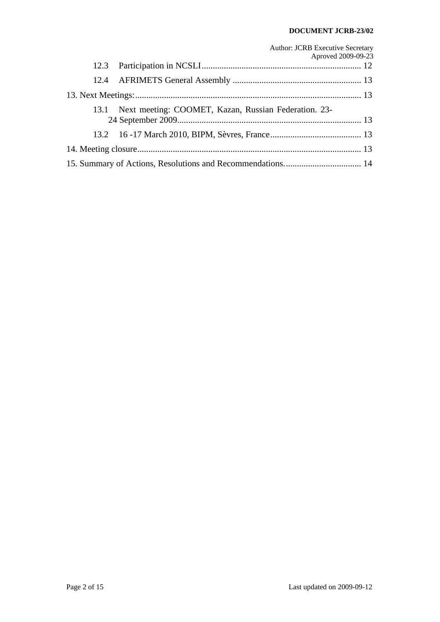#### **DOCUMENT JCRB-23/02**

|  | <b>Author: JCRB Executive Secretary</b><br>Aproved 2009-09-23 |  |  |  |  |
|--|---------------------------------------------------------------|--|--|--|--|
|  |                                                               |  |  |  |  |
|  |                                                               |  |  |  |  |
|  |                                                               |  |  |  |  |
|  | 13.1 Next meeting: COOMET, Kazan, Russian Federation. 23-     |  |  |  |  |
|  |                                                               |  |  |  |  |
|  |                                                               |  |  |  |  |
|  |                                                               |  |  |  |  |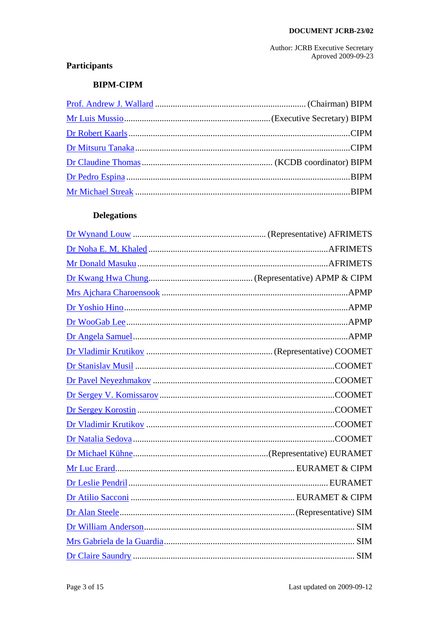## Participants

## **BIPM-CIPM**

## **Delegations**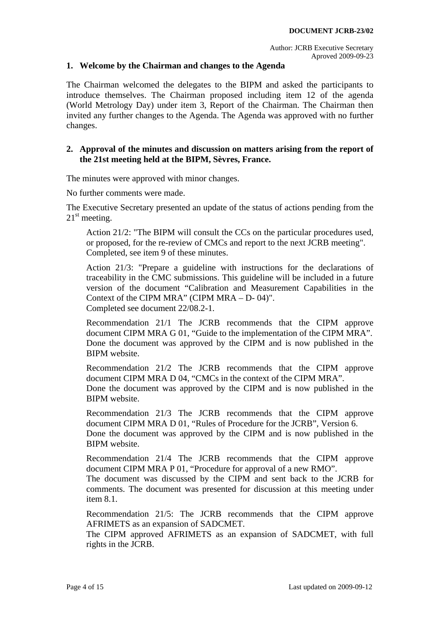## <span id="page-3-0"></span>**1. Welcome by the Chairman and changes to the Agenda**

The Chairman welcomed the delegates to the BIPM and asked the participants to introduce themselves. The Chairman proposed including item 12 of the agenda (World Metrology Day) under item 3, Report of the Chairman. The Chairman then invited any further changes to the Agenda. The Agenda was approved with no further changes.

### <span id="page-3-1"></span>**2. Approval of the minutes and discussion on matters arising from the report of the 21st meeting held at the BIPM, Sèvres, France.**

The minutes were approved with minor changes.

No further comments were made.

The Executive Secretary presented an update of the status of actions pending from the  $21<sup>st</sup>$  meeting.

Action 21/2: "The BIPM will consult the CCs on the particular procedures used, or proposed, for the re-review of CMCs and report to the next JCRB meeting". Completed, see item 9 of these minutes.

Action 21/3: "Prepare a guideline with instructions for the declarations of traceability in the CMC submissions. This guideline will be included in a future version of the document "Calibration and Measurement Capabilities in the Context of the CIPM MRA" (CIPM MRA – D- 04)". Completed see document 22/08.2-1.

Recommendation 21/1 The JCRB recommends that the CIPM approve document CIPM MRA G 01, "Guide to the implementation of the CIPM MRA". Done the document was approved by the CIPM and is now published in the BIPM website.

Recommendation 21/2 The JCRB recommends that the CIPM approve document CIPM MRA D 04, "CMCs in the context of the CIPM MRA".

Done the document was approved by the CIPM and is now published in the BIPM website.

Recommendation 21/3 The JCRB recommends that the CIPM approve document CIPM MRA D 01, "Rules of Procedure for the JCRB", Version 6.

Done the document was approved by the CIPM and is now published in the BIPM website.

Recommendation 21/4 The JCRB recommends that the CIPM approve document CIPM MRA P 01, "Procedure for approval of a new RMO".

The document was discussed by the CIPM and sent back to the JCRB for comments. The document was presented for discussion at this meeting under item 8.1.

Recommendation 21/5: The JCRB recommends that the CIPM approve AFRIMETS as an expansion of SADCMET.

The CIPM approved AFRIMETS as an expansion of SADCMET, with full rights in the JCRB.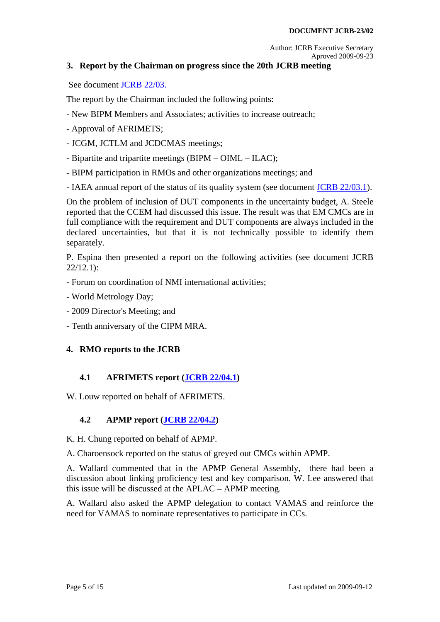## <span id="page-4-0"></span>**3. Report by the Chairman on progress since the 20th JCRB meeting**

See document [JCRB 22/03.](http://www.bipm.org/cc/JCRB/Restricted/22/22.03.Chairman_Report_4.ppt)

The report by the Chairman included the following points:

- New BIPM Members and Associates; activities to increase outreach;
- Approval of AFRIMETS;
- JCGM, JCTLM and JCDCMAS meetings;
- Bipartite and tripartite meetings (BIPM OIML ILAC);
- BIPM participation in RMOs and other organizations meetings; and
- IAEA annual report of the status of its quality system (see document [JCRB 22/03.1\)](http://www.bipm.org/cc/JCRB/Restricted/22/22.03.01.IAEA_Annual_report_to_JCRB_2008.pdf).

On the problem of inclusion of DUT components in the uncertainty budget, A. Steele reported that the CCEM had discussed this issue. The result was that EM CMCs are in full compliance with the requirement and DUT components are always included in the declared uncertainties, but that it is not technically possible to identify them separately.

P. Espina then presented a report on the following activities (see document JCRB 22/12.1):

- Forum on coordination of NMI international activities;
- World Metrology Day;
- 2009 Director's Meeting; and
- Tenth anniversary of the CIPM MRA.

## <span id="page-4-1"></span>**4. RMO reports to the JCRB**

## **4.1 AFRIMETS report ([JCRB 22/04.1\)](http://www.bipm.org/cc/JCRB/Restricted/22/22.04.01.AFRIMETS_Report_March_2009.doc)**

<span id="page-4-2"></span>W. Louw reported on behalf of AFRIMETS.

## **4.2 APMP report [\(JCRB 22/04.2\)](http://www.bipm.org/cc/JCRB/Restricted/22/22.04.02.APMP_Activity_Report_to_the_22nd_JCRB_2009.pdf)**

<span id="page-4-3"></span>K. H. Chung reported on behalf of APMP.

A. Charoensock reported on the status of greyed out CMCs within APMP.

A. Wallard commented that in the APMP General Assembly, there had been a discussion about linking proficiency test and key comparison. W. Lee answered that this issue will be discussed at the APLAC – APMP meeting.

A. Wallard also asked the APMP delegation to contact VAMAS and reinforce the need for VAMAS to nominate representatives to participate in CCs.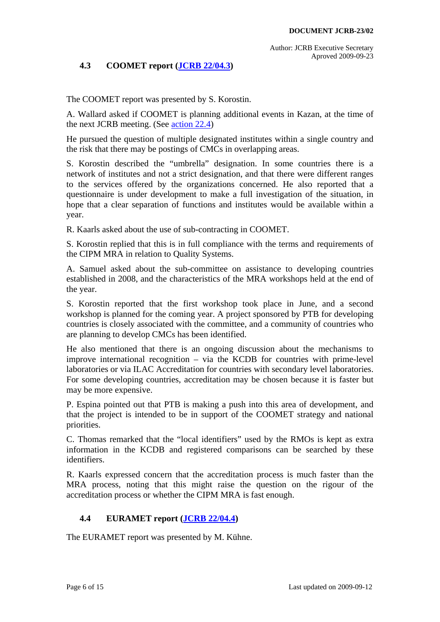## **4.3 COOMET report [\(JCRB 22/04.3\)](http://www.bipm.org/cc/JCRB/Restricted/22/22.04.03.COOMET_Report_JCRB-22.pdf)**

<span id="page-5-0"></span>The COOMET report was presented by S. Korostin.

A. Wallard asked if COOMET is planning additional events in Kazan, at the time of the next JCRB meeting. (See [action 22.4](#page-13-0))

He pursued the question of multiple designated institutes within a single country and the risk that there may be postings of CMCs in overlapping areas.

S. Korostin described the "umbrella" designation. In some countries there is a network of institutes and not a strict designation, and that there were different ranges to the services offered by the organizations concerned. He also reported that a questionnaire is under development to make a full investigation of the situation, in hope that a clear separation of functions and institutes would be available within a year.

R. Kaarls asked about the use of sub-contracting in COOMET.

S. Korostin replied that this is in full compliance with the terms and requirements of the CIPM MRA in relation to Quality Systems.

A. Samuel asked about the sub-committee on assistance to developing countries established in 2008, and the characteristics of the MRA workshops held at the end of the year.

S. Korostin reported that the first workshop took place in June, and a second workshop is planned for the coming year. A project sponsored by PTB for developing countries is closely associated with the committee, and a community of countries who are planning to develop CMCs has been identified.

He also mentioned that there is an ongoing discussion about the mechanisms to improve international recognition – via the KCDB for countries with prime-level laboratories or via ILAC Accreditation for countries with secondary level laboratories. For some developing countries, accreditation may be chosen because it is faster but may be more expensive.

P. Espina pointed out that PTB is making a push into this area of development, and that the project is intended to be in support of the COOMET strategy and national priorities.

C. Thomas remarked that the "local identifiers" used by the RMOs is kept as extra information in the KCDB and registered comparisons can be searched by these identifiers.

R. Kaarls expressed concern that the accreditation process is much faster than the MRA process, noting that this might raise the question on the rigour of the accreditation process or whether the CIPM MRA is fast enough.

## **4.4 EURAMET report ([JCRB 22/04.4](http://www.bipm.org/cc/JCRB/Restricted/22/22.04.04.EURAMET_Report_22nd_JCRB.doc))**

<span id="page-5-1"></span>The EURAMET report was presented by M. Kühne.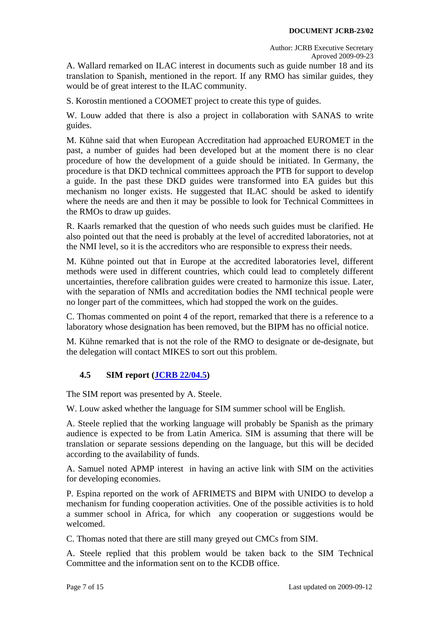A. Wallard remarked on ILAC interest in documents such as guide number 18 and its translation to Spanish, mentioned in the report. If any RMO has similar guides, they would be of great interest to the ILAC community.

S. Korostin mentioned a COOMET project to create this type of guides.

W. Louw added that there is also a project in collaboration with SANAS to write guides.

M. Kühne said that when European Accreditation had approached EUROMET in the past, a number of guides had been developed but at the moment there is no clear procedure of how the development of a guide should be initiated. In Germany, the procedure is that DKD technical committees approach the PTB for support to develop a guide. In the past these DKD guides were transformed into EA guides but this mechanism no longer exists. He suggested that ILAC should be asked to identify where the needs are and then it may be possible to look for Technical Committees in the RMOs to draw up guides.

R. Kaarls remarked that the question of who needs such guides must be clarified. He also pointed out that the need is probably at the level of accredited laboratories, not at the NMI level, so it is the accreditors who are responsible to express their needs.

M. Kühne pointed out that in Europe at the accredited laboratories level, different methods were used in different countries, which could lead to completely different uncertainties, therefore calibration guides were created to harmonize this issue. Later, with the separation of NMIs and accreditation bodies the NMI technical people were no longer part of the committees, which had stopped the work on the guides.

C. Thomas commented on point 4 of the report, remarked that there is a reference to a laboratory whose designation has been removed, but the BIPM has no official notice.

M. Kühne remarked that is not the role of the RMO to designate or de-designate, but the delegation will contact MIKES to sort out this problem.

## **4.5 SIM report [\(JCRB 22/04.5\)](http://www.bipm.org/cc/JCRB/Restricted/22/22.04.05.SIM_Report_to_the_22nd_JCRB_Meeting.doc)**

<span id="page-6-0"></span>The SIM report was presented by A. Steele.

W. Louw asked whether the language for SIM summer school will be English.

A. Steele replied that the working language will probably be Spanish as the primary audience is expected to be from Latin America. SIM is assuming that there will be translation or separate sessions depending on the language, but this will be decided according to the availability of funds.

A. Samuel noted APMP interest in having an active link with SIM on the activities for developing economies.

P. Espina reported on the work of AFRIMETS and BIPM with UNIDO to develop a mechanism for funding cooperation activities. One of the possible activities is to hold a summer school in Africa, for which any cooperation or suggestions would be welcomed.

C. Thomas noted that there are still many greyed out CMCs from SIM.

A. Steele replied that this problem would be taken back to the SIM Technical Committee and the information sent on to the KCDB office.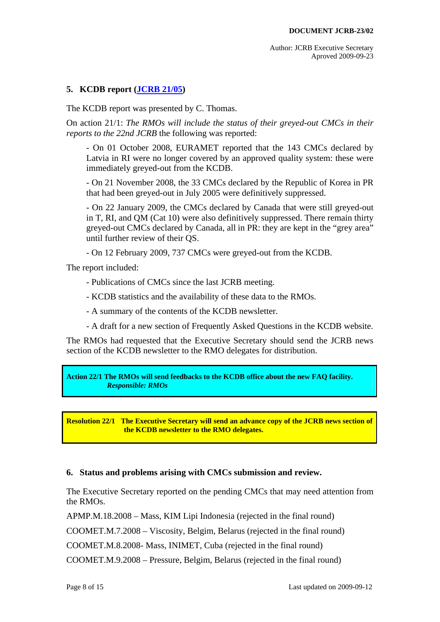## <span id="page-7-0"></span>**5. KCDB report [\(JCRB 21/05\)](http://www.bipm.org/cc/JCRB/Restricted/22/22.05.KCDB_Report_to_22th_JCRB.pdf)**

The KCDB report was presented by C. Thomas.

On action 21/1: *The RMOs will include the status of their greyed-out CMCs in their reports to the 22nd JCRB* the following was reported:

- On 01 October 2008, EURAMET reported that the 143 CMCs declared by Latvia in RI were no longer covered by an approved quality system: these were immediately greyed-out from the KCDB.

- On 21 November 2008, the 33 CMCs declared by the Republic of Korea in PR that had been greyed-out in July 2005 were definitively suppressed.

- On 22 January 2009, the CMCs declared by Canada that were still greyed-out in T, RI, and QM (Cat 10) were also definitively suppressed. There remain thirty greyed-out CMCs declared by Canada, all in PR: they are kept in the "grey area" until further review of their QS.

- On 12 February 2009, 737 CMCs were greyed-out from the KCDB.

The report included:

- Publications of CMCs since the last JCRB meeting.

- KCDB statistics and the availability of these data to the RMOs.

- A summary of the contents of the KCDB newsletter.

- A draft for a new section of Frequently Asked Questions in the KCDB website.

The RMOs had requested that the Executive Secretary should send the JCRB news section of the KCDB newsletter to the RMO delegates for distribution.

<span id="page-7-2"></span>**Action 22/1 The RMOs will send feedbacks to the KCDB office about the new FAQ facility.**   *Responsible: RMOs* 

<span id="page-7-3"></span>**Resolution 22/1 The Executive Secretary will send an advance copy of the JCRB news section of the KCDB newsletter to the RMO delegates.** 

## <span id="page-7-1"></span>**6. Status and problems arising with CMCs submission and review.**

The Executive Secretary reported on the pending CMCs that may need attention from the RMOs.

APMP.M.18.2008 – Mass, KIM Lipi Indonesia (rejected in the final round)

COOMET.M.7.2008 – Viscosity, Belgim, Belarus (rejected in the final round)

COOMET.M.8.2008- Mass, INIMET, Cuba (rejected in the final round)

COOMET.M.9.2008 – Pressure, Belgim, Belarus (rejected in the final round)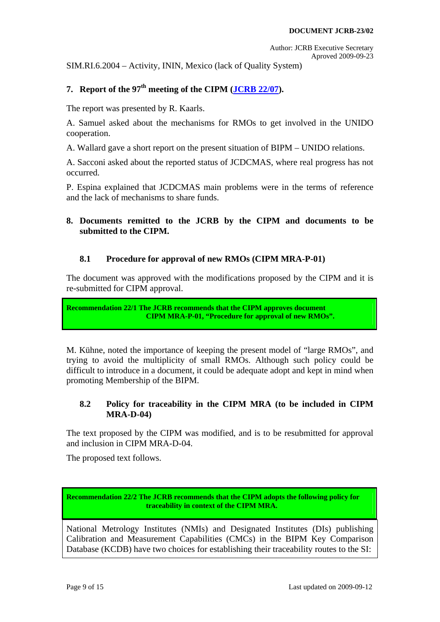SIM.RI.6.2004 – Activity, ININ, Mexico (lack of Quality System)

## <span id="page-8-0"></span>7. **Report of the 97<sup>th</sup> meeting of the CIPM (<b>[JCRB 22/07](http://www.bipm.org/cc/JCRB/Restricted/22/JCRB_March_2009_CIPM_report.ppt)**).

The report was presented by R. Kaarls.

A. Samuel asked about the mechanisms for RMOs to get involved in the UNIDO cooperation.

A. Wallard gave a short report on the present situation of BIPM – UNIDO relations.

A. Sacconi asked about the reported status of JCDCMAS, where real progress has not occurred.

P. Espina explained that JCDCMAS main problems were in the terms of reference and the lack of mechanisms to share funds.

## <span id="page-8-1"></span>**8. Documents remitted to the JCRB by the CIPM and documents to be submitted to the CIPM.**

## **8.1 Procedure for approval of new RMOs (CIPM MRA-P-01)**

<span id="page-8-2"></span>The document was approved with the modifications proposed by the CIPM and it is re-submitted for CIPM approval.

<span id="page-8-5"></span>**Recommendation 22/1 The JCRB recommends that the CIPM approves document CIPM MRA-P-01, "Procedure for approval of new RMOs".** 

M. Kühne, noted the importance of keeping the present model of "large RMOs", and trying to avoid the multiplicity of small RMOs. Although such policy could be difficult to introduce in a document, it could be adequate adopt and kept in mind when promoting Membership of the BIPM.

## **8.2 Policy for traceability in the CIPM MRA (to be included in CIPM MRA-D-04)**

<span id="page-8-3"></span>The text proposed by the CIPM was modified, and is to be resubmitted for approval and inclusion in CIPM MRA-D-04.

<span id="page-8-4"></span>The proposed text follows.

<span id="page-8-6"></span>**Recommendation 22/2 The JCRB recommends that the CIPM adopts the following policy for traceability in context of the CIPM MRA.** 

National Metrology Institutes (NMIs) and Designated Institutes (DIs) publishing Calibration and Measurement Capabilities (CMCs) in the BIPM Key Comparison Database (KCDB) have two choices for establishing their traceability routes to the SI: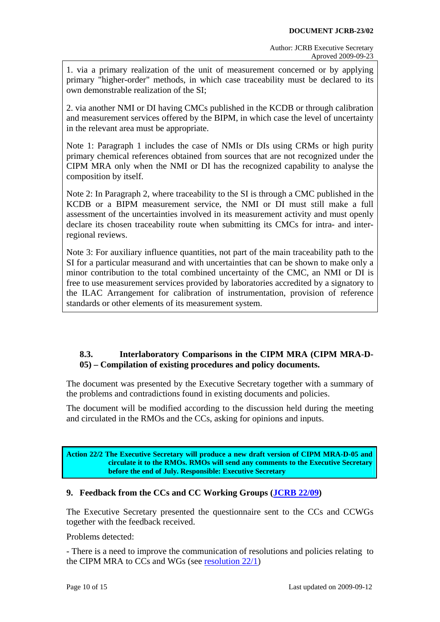1. via a primary realization of the unit of measurement concerned or by applying primary "higher-order" methods, in which case traceability must be declared to its own demonstrable realization of the SI;

2. via another NMI or DI having CMCs published in the KCDB or through calibration and measurement services offered by the BIPM, in which case the level of uncertainty in the relevant area must be appropriate.

Note 1: Paragraph 1 includes the case of NMIs or DIs using CRMs or high purity primary chemical references obtained from sources that are not recognized under the CIPM MRA only when the NMI or DI has the recognized capability to analyse the composition by itself.

Note 2: In Paragraph 2, where traceability to the SI is through a CMC published in the KCDB or a BIPM measurement service, the NMI or DI must still make a full assessment of the uncertainties involved in its measurement activity and must openly declare its chosen traceability route when submitting its CMCs for intra- and interregional reviews.

Note 3: For auxiliary influence quantities, not part of the main traceability path to the SI for a particular measurand and with uncertainties that can be shown to make only a minor contribution to the total combined uncertainty of the CMC, an NMI or DI is free to use measurement services provided by laboratories accredited by a signatory to the ILAC Arrangement for calibration of instrumentation, provision of reference standards or other elements of its measurement system.

## **8.3. Interlaboratory Comparisons in the CIPM MRA (CIPM MRA-D-05) – Compilation of existing procedures and policy documents.**

<span id="page-9-0"></span>The document was presented by the Executive Secretary together with a summary of the problems and contradictions found in existing documents and policies.

The document will be modified according to the discussion held during the meeting and circulated in the RMOs and the CCs, asking for opinions and inputs.

**Action 22/2 The Executive Secretary will produce a new draft version of CIPM MRA-D-05 and circulate it to the RMOs. RMOs will send any comments to the Executive Secretary before the end of July. Responsible: Executive Secretary** 

## <span id="page-9-1"></span>**9. Feedback from the CCs and CC Working Groups ([JCRB 22/09\)](http://www.bipm.org/cc/JCRB/Restricted/22/22.09.04.feedback_from_WGs.xls)**

The Executive Secretary presented the questionnaire sent to the CCs and CCWGs together with the feedback received.

Problems detected:

- There is a need to improve the communication of resolutions and policies relating to the CIPM MRA to CCs and WGs (see [resolution 22/1\)](#page-13-0)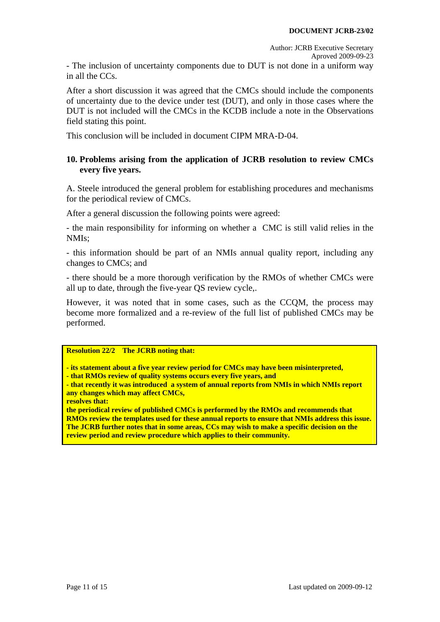- The inclusion of uncertainty components due to DUT is not done in a uniform way in all the CCs.

After a short discussion it was agreed that the CMCs should include the components of uncertainty due to the device under test (DUT), and only in those cases where the DUT is not included will the CMCs in the KCDB include a note in the Observations field stating this point.

This conclusion will be included in document CIPM MRA-D-04.

## <span id="page-10-0"></span>**10. Problems arising from the application of JCRB resolution to review CMCs every five years.**

A. Steele introduced the general problem for establishing procedures and mechanisms for the periodical review of CMCs.

After a general discussion the following points were agreed:

- the main responsibility for informing on whether a CMC is still valid relies in the NMIs;

- this information should be part of an NMIs annual quality report, including any changes to CMCs; and

- there should be a more thorough verification by the RMOs of whether CMCs were all up to date, through the five-year QS review cycle,.

However, it was noted that in some cases, such as the CCQM, the process may become more formalized and a re-review of the full list of published CMCs may be performed.

#### <span id="page-10-1"></span>**Resolution 22/2 The JCRB noting that:**

**- its statement about a five year review period for CMCs may have been misinterpreted,** 

**- that RMOs review of quality systems occurs every five years, and** 

**- that recently it was introduced a system of annual reports from NMIs in which NMIs report any changes which may affect CMCs,** 

**resolves that:** 

**the periodical review of published CMCs is performed by the RMOs and recommends that RMOs review the templates used for these annual reports to ensure that NMIs address this issue. The JCRB further notes that in some areas, CCs may wish to make a specific decision on the review period and review procedure which applies to their community.**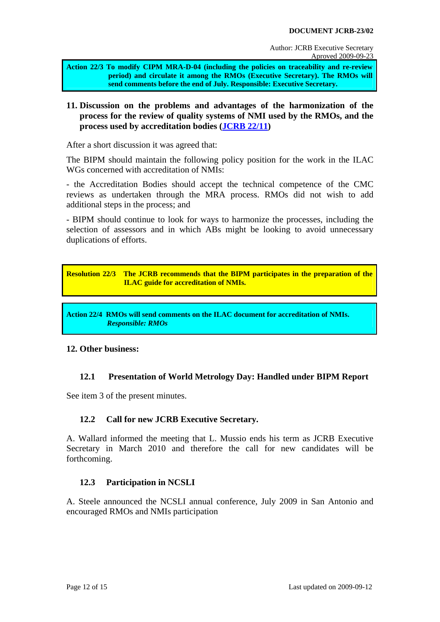<span id="page-11-5"></span>**Action 22/3 To modify CIPM MRA-D-04 (including the policies on traceability and re-review period) and circulate it among the RMOs (Executive Secretary). The RMOs will send comments before the end of July. Responsible: Executive Secretary.**

## <span id="page-11-0"></span>**11. Discussion on the problems and advantages of the harmonization of the process for the review of quality systems of NMI used by the RMOs, and the process used by accreditation bodies ([JCRB 22/11\)](http://www.bipm.org/cc/JCRB/Restricted/22/22.11.ILAC-AIC(08)076_1st_Draft-ILAC_Guidelines_on_the_Accreditation_of_NMIs.doc)**

After a short discussion it was agreed that:

The BIPM should maintain the following policy position for the work in the ILAC WGs concerned with accreditation of NMIs:

- the Accreditation Bodies should accept the technical competence of the CMC reviews as undertaken through the MRA process. RMOs did not wish to add additional steps in the process; and

- BIPM should continue to look for ways to harmonize the processes, including the selection of assessors and in which ABs might be looking to avoid unnecessary duplications of efforts.

<span id="page-11-7"></span>**Resolution 22/3 The JCRB recommends that the BIPM participates in the preparation of the ILAC guide for accreditation of NMIs.** 

<span id="page-11-6"></span>**Action 22/4 RMOs will send comments on the ILAC document for accreditation of NMIs.**   *Responsible: RMOs* 

## <span id="page-11-1"></span>**12. Other business:**

## **12.1 Presentation of World Metrology Day: Handled under BIPM Report**

<span id="page-11-2"></span>See item 3 of the present minutes.

## **12.2 Call for new JCRB Executive Secretary.**

<span id="page-11-3"></span>A. Wallard informed the meeting that L. Mussio ends his term as JCRB Executive Secretary in March 2010 and therefore the call for new candidates will be forthcoming.

## **12.3 Participation in NCSLI**

<span id="page-11-4"></span>A. Steele announced the NCSLI annual conference, July 2009 in San Antonio and encouraged RMOs and NMIs participation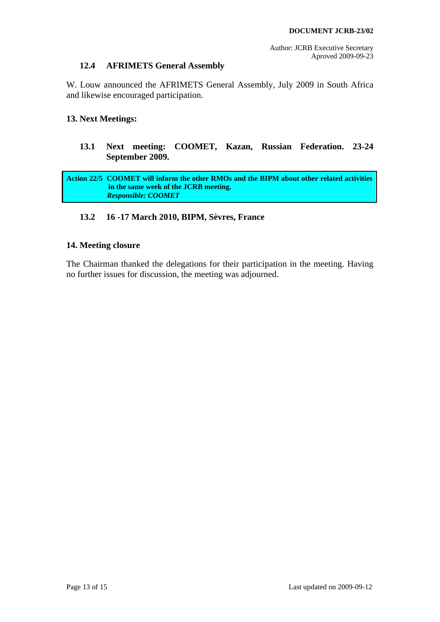## **12.4 AFRIMETS General Assembly**

<span id="page-12-0"></span>W. Louw announced the AFRIMETS General Assembly, July 2009 in South Africa and likewise encouraged participation.

## <span id="page-12-2"></span><span id="page-12-1"></span>**13. Next Meetings:**

## **13.1 Next meeting: COOMET, Kazan, Russian Federation. 23-24 September 2009.**

<span id="page-12-5"></span>**Action 22/5 COOMET will inform the other RMOs and the BIPM about other related activities in the same week of the JCRB meeting.**   *Responsible: COOMET* 

## **13.2 16 -17 March 2010, BIPM, Sèvres, France**

#### <span id="page-12-4"></span><span id="page-12-3"></span>**14. Meeting closure**

The Chairman thanked the delegations for their participation in the meeting. Having no further issues for discussion, the meeting was adjourned.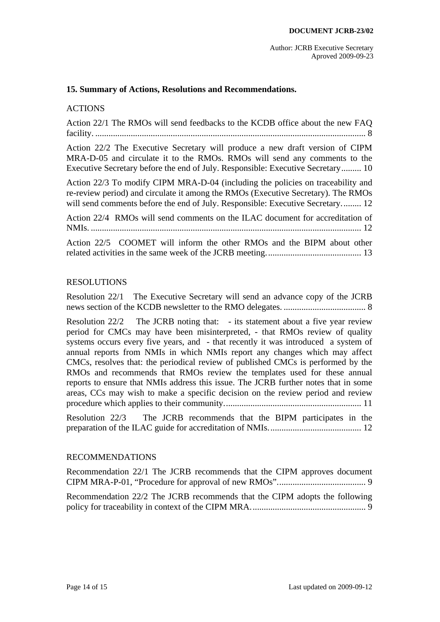#### <span id="page-13-0"></span>**15. Summary of Actions, Resolutions and Recommendations.**

#### ACTIONS

[Action 22/1 The RMOs will send feedbacks to the KCDB office about the new FAQ](#page-7-2)  [facility. .......................................................................................................................... 8](#page-7-2) 

[Action 22/2 The Executive Secretary will produce a new draft version of CIPM](#page-8-4)  [MRA-D-05 and circulate it to the RMOs. RMOs will send any comments to the](#page-8-4)  [Executive Secretary before the end of July. Responsible: Executive Secretary......... 10](#page-8-4) 

[Action 22/3 To modify CIPM MRA-D-04 \(including the policies on traceability and](#page-11-5)  [re-review period\) and circulate it among the RMOs \(Executive Secretary\). The RMOs](#page-11-5)  will send comments before the end of July. Responsible: Executive Secretary......... 12

[Action 22/4 RMOs will send comments on the ILAC document for accreditation of](#page-11-6)  [NMIs. .......................................................................................................................... 12](#page-11-6) 

[Action 22/5 COOMET will inform the other RMOs and the BIPM about other](#page-12-5)  [related activities in the same week of the JCRB meeting........................................... 13](#page-12-5) 

#### RESOLUTIONS

[Resolution 22/1 The Executive Secretary will send an advance copy of the JCRB](#page-7-3)  [news section of the KCDB newsletter to the RMO delegates. ..................................... 8](#page-7-3) 

[Resolution 22/2 The JCRB noting that: - its statement about a five year review](#page-10-1)  [period for CMCs may have been misinterpreted, - that RMOs review of quality](#page-10-1)  [systems occurs every five years, and - that recently it was introduced a system of](#page-10-1)  [annual reports from NMIs in which NMIs report any changes which may affect](#page-10-1)  [CMCs, resolves that: the periodical review of published CMCs is performed by the](#page-10-1)  [RMOs and recommends that RMOs review the templates used for these annual](#page-10-1)  [reports to ensure that NMIs address this issue. The JCRB further notes that in some](#page-10-1)  [areas, CCs may wish to make a specific decision on the review period and review](#page-10-1)  [procedure which applies to their community.............................................................. 11](#page-10-1) 

[Resolution 22/3 The JCRB recommends that the BIPM participates in the](#page-11-7)  [preparation of the ILAC guide for accreditation of NMIs.......................................... 12](#page-11-7) 

#### RECOMMENDATIONS

[Recommendation 22/1 The JCRB recommends that the CIPM approves document](#page-8-5)  [CIPM MRA-P-01, "Procedure for approval of new RMOs"........................................ 9](#page-8-5) 

[Recommendation 22/2 The JCRB recommends that the CIPM adopts the following](#page-8-6)  [policy for traceability in context of the CIPM MRA.................................................... 9](#page-8-6)